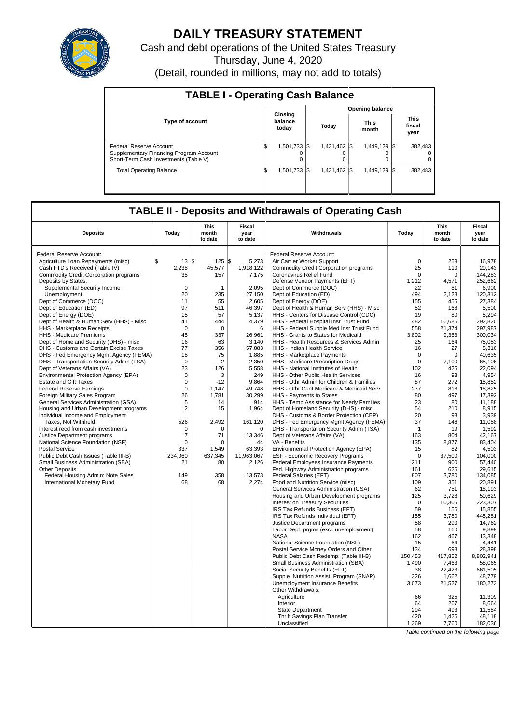

# **DAILY TREASURY STATEMENT**

Cash and debt operations of the United States Treasury Thursday, June 4, 2020 (Detail, rounded in millions, may not add to totals)

| <b>TABLE I - Operating Cash Balance</b>                                                                     |     |                              |       |               |  |                      |  |                                 |  |  |  |  |
|-------------------------------------------------------------------------------------------------------------|-----|------------------------------|-------|---------------|--|----------------------|--|---------------------------------|--|--|--|--|
|                                                                                                             |     | <b>Opening balance</b>       |       |               |  |                      |  |                                 |  |  |  |  |
| <b>Type of account</b>                                                                                      |     | Closing<br>balance<br>today  | Todav |               |  | <b>This</b><br>month |  | <b>This</b><br>fiscal<br>year   |  |  |  |  |
| Federal Reserve Account<br>Supplementary Financing Program Account<br>Short-Term Cash Investments (Table V) | 1\$ | $1,501,733$ $\sqrt{\$}$<br>0 |       | 1,431,462 \$  |  | 1,449,129 \$<br>0    |  | 382.483<br>$\Omega$<br>$\Omega$ |  |  |  |  |
| <b>Total Operating Balance</b>                                                                              | 1\$ | $1,501,733$ \\$              |       | 1.431.462 \\$ |  | 1.449.129 \\$        |  | 382.483                         |  |  |  |  |

## **TABLE II - Deposits and Withdrawals of Operating Cash**

| <b>Deposits</b>                              | Today          | <b>This</b><br>month<br>to date | <b>Fiscal</b><br>year<br>to date | Withdrawals                                                              | Today              | <b>This</b><br>month<br>to date | <b>Fiscal</b><br>year<br>to date |
|----------------------------------------------|----------------|---------------------------------|----------------------------------|--------------------------------------------------------------------------|--------------------|---------------------------------|----------------------------------|
| Federal Reserve Account:                     |                |                                 |                                  | Federal Reserve Account:                                                 |                    |                                 |                                  |
| Agriculture Loan Repayments (misc)           | \$<br>13       | I\$<br>125                      | 5,273<br>l\$                     | Air Carrier Worker Support                                               | $\mathbf 0$        | 253                             | 16,978                           |
| Cash FTD's Received (Table IV)               | 2,238          | 45,577                          | 1,918,122                        | <b>Commodity Credit Corporation programs</b>                             | 25                 | 110                             | 20,143                           |
| <b>Commodity Credit Corporation programs</b> | 35             | 157                             | 7,175                            | Coronavirus Relief Fund                                                  | $\Omega$           | $\Omega$                        | 144,283                          |
| Deposits by States:                          |                |                                 |                                  | Defense Vendor Payments (EFT)                                            | 1,212              | 4.571                           | 252.662                          |
| Supplemental Security Income                 | $\mathbf 0$    | $\mathbf 1$                     | 2,095                            | Dept of Commerce (DOC)                                                   | 22                 | 81                              | 6,900                            |
| Unemployment                                 | 20             | 235                             | 27,150                           | Dept of Education (ED)                                                   | 494                | 2,128                           | 120,312                          |
| Dept of Commerce (DOC)                       | 11             | 55                              | 2,605                            | Dept of Energy (DOE)                                                     | 155                | 455                             | 27,384                           |
| Dept of Education (ED)                       | 97             | 511                             | 46,397                           | Dept of Health & Human Serv (HHS) - Misc                                 | 52                 | 168                             | 5,500                            |
| Dept of Energy (DOE)                         | 15             | 57                              | 5,137                            | HHS - Centers for Disease Control (CDC)                                  | 19                 | 80                              | 5,294                            |
| Dept of Health & Human Serv (HHS) - Misc     | 41             | 444                             | 4,379                            | HHS - Federal Hospital Insr Trust Fund                                   | 482                | 16,686                          | 292,820                          |
| HHS - Marketplace Receipts                   | $\mathbf 0$    | $\mathbf 0$                     | 6                                | HHS - Federal Supple Med Insr Trust Fund                                 | 558                | 21,374                          | 297,987                          |
| HHS - Medicare Premiums                      | 45             | 337                             | 26.961                           | HHS - Grants to States for Medicaid                                      | 3,802              | 9,363                           | 300,034                          |
| Dept of Homeland Security (DHS) - misc       | 16             | 63                              | 3,140                            | HHS - Health Resources & Services Admin                                  | 25                 | 164                             | 75.053                           |
| DHS - Customs and Certain Excise Taxes       | 77             | 356                             | 57,883                           | HHS - Indian Health Service                                              | 16                 | 27                              | 5,316                            |
| DHS - Fed Emergency Mgmt Agency (FEMA)       | 18             | 75                              | 1,885                            | HHS - Marketplace Payments                                               | $\mathbf 0$        | $\mathbf 0$                     | 40.635                           |
| DHS - Transportation Security Admn (TSA)     | $\mathbf 0$    | $\overline{2}$                  | 2.350                            | HHS - Medicare Prescription Drugs                                        | $\Omega$           | 7.100                           | 65.106                           |
| Dept of Veterans Affairs (VA)                | 23             | 126                             | 5,558                            | HHS - National Institutes of Health                                      | 102                | 425                             | 22,094                           |
| Environmental Protection Agency (EPA)        | $\mathbf 0$    | 3                               | 249                              | HHS - Other Public Health Services                                       | 16                 | 93                              | 4,954                            |
| <b>Estate and Gift Taxes</b>                 | $\mathbf 0$    | $-12$                           | 9,864                            | HHS - Othr Admin for Children & Families                                 | 87                 | 272                             | 15,852                           |
| <b>Federal Reserve Earnings</b>              | $\mathbf 0$    | 1,147                           | 49,748                           | HHS - Othr Cent Medicare & Medicaid Serv                                 | 277                | 818                             | 18,825                           |
| Foreign Military Sales Program               | 26             | 1.781                           | 30,299                           | HHS - Payments to States                                                 | 80                 | 497                             | 17,392                           |
| General Services Administration (GSA)        | 5              | 14                              | 914                              | HHS - Temp Assistance for Needy Families                                 | 23                 | 80                              | 11.188                           |
| Housing and Urban Development programs       | $\overline{2}$ | 15                              | 1,964                            | Dept of Homeland Security (DHS) - misc                                   | 54                 | 210                             | 8,915                            |
| Individual Income and Employment             |                |                                 |                                  | DHS - Customs & Border Protection (CBP)                                  | 20                 | 93                              | 3,939                            |
| Taxes. Not Withheld                          | 526            | 2.492                           | 161,120                          | DHS - Fed Emergency Mgmt Agency (FEMA)                                   | 37                 | 146                             | 11.088                           |
| Interest recd from cash investments          | $\Omega$       | $\Omega$                        | $\Omega$                         | DHS - Transportation Security Admn (TSA)                                 | $\mathbf{1}$       | 19                              | 1.592                            |
| Justice Department programs                  | 7              | 71                              | 13,346                           | Dept of Veterans Affairs (VA)                                            | 163                | 804                             | 42,167                           |
| National Science Foundation (NSF)            | $\mathbf 0$    | $\mathbf 0$                     | 44                               | VA - Benefits                                                            | 135                | 8,877                           | 83,404                           |
| <b>Postal Service</b>                        | 337            | 1,549                           | 63,393                           | Environmental Protection Agency (EPA)                                    | 15                 | 82                              | 4,503                            |
| Public Debt Cash Issues (Table III-B)        | 234,060        | 637,345                         | 11,963,067                       | <b>ESF - Economic Recovery Programs</b>                                  | $\mathbf 0$        | 37,500                          | 104,000                          |
| Small Business Administration (SBA)          | 21             | 80                              | 2,126                            | Federal Employees Insurance Payments                                     | 211                | 900                             | 57,440                           |
| Other Deposits:                              |                |                                 |                                  | Fed. Highway Administration programs                                     | 161                | 626                             | 29,615                           |
| Federal Housing Admin: Note Sales            | 149            | 358                             | 13,573                           | Federal Salaries (EFT)                                                   | 807                | 3,780                           | 134,085                          |
| International Monetary Fund                  | 68             | 68                              | 2.274                            | Food and Nutrition Service (misc)                                        | 109                | 351                             | 20.891                           |
|                                              |                |                                 |                                  | General Services Administration (GSA)                                    | 62                 | 751                             | 18.193                           |
|                                              |                |                                 |                                  | Housing and Urban Development programs                                   | 125<br>$\mathbf 0$ | 3,728                           | 50,629<br>223,307                |
|                                              |                |                                 |                                  | <b>Interest on Treasury Securities</b><br>IRS Tax Refunds Business (EFT) | 59                 | 10,305<br>156                   | 15,855                           |
|                                              |                |                                 |                                  | IRS Tax Refunds Individual (EFT)                                         | 155                | 3,780                           | 445,281                          |
|                                              |                |                                 |                                  | Justice Department programs                                              | 58                 | 290                             | 14,762                           |
|                                              |                |                                 |                                  | Labor Dept. prgms (excl. unemployment)                                   | 58                 | 160                             | 9,899                            |
|                                              |                |                                 |                                  | <b>NASA</b>                                                              | 162                | 467                             | 13,348                           |
|                                              |                |                                 |                                  | National Science Foundation (NSF)                                        | 15                 | 64                              | 4,441                            |
|                                              |                |                                 |                                  | Postal Service Money Orders and Other                                    | 134                | 698                             | 28.398                           |
|                                              |                |                                 |                                  | Public Debt Cash Redemp. (Table III-B)                                   | 150,453            | 417,852                         | 8,802,941                        |
|                                              |                |                                 |                                  | Small Business Administration (SBA)                                      | 1,490              | 7,463                           | 58,065                           |
|                                              |                |                                 |                                  | Social Security Benefits (EFT)                                           | 38                 | 22,423                          | 661,505                          |
|                                              |                |                                 |                                  | Supple. Nutrition Assist. Program (SNAP)                                 | 326                | 1,662                           | 48.779                           |
|                                              |                |                                 |                                  | Unemployment Insurance Benefits                                          | 3,073              | 21,527                          | 180,273                          |
|                                              |                |                                 |                                  | Other Withdrawals:                                                       |                    |                                 |                                  |
|                                              |                |                                 |                                  | Agriculture                                                              | 66                 | 325                             | 11,309                           |
|                                              |                |                                 |                                  | Interior                                                                 | 64                 | 267                             | 8,664                            |
|                                              |                |                                 |                                  | <b>State Department</b>                                                  | 294                | 493                             | 11.584                           |
|                                              |                |                                 |                                  | Thrift Savings Plan Transfer                                             | 420                | 1,426                           | 48,118                           |
|                                              |                |                                 |                                  | Unclassified                                                             | 1,369              | 7,760                           | 182,036                          |

Table continued on the following page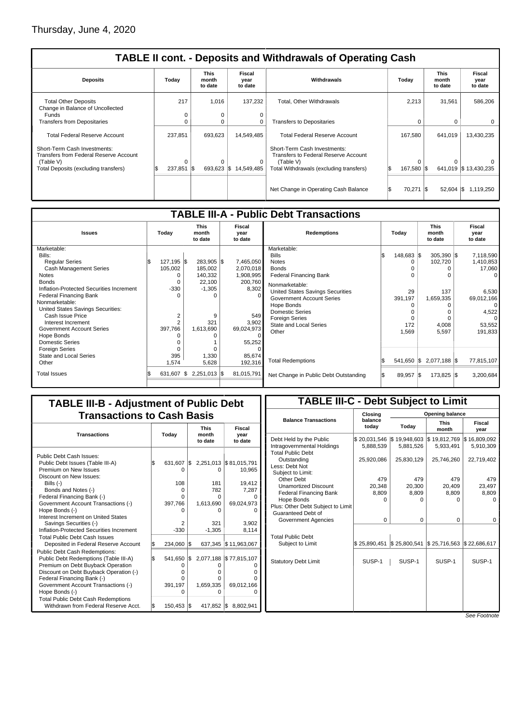| <b>TABLE II cont. - Deposits and Withdrawals of Operating Cash</b>                                             |            |                                 |                           |                                                                                                                     |                   |                                 |                                  |  |  |  |  |  |
|----------------------------------------------------------------------------------------------------------------|------------|---------------------------------|---------------------------|---------------------------------------------------------------------------------------------------------------------|-------------------|---------------------------------|----------------------------------|--|--|--|--|--|
| <b>Deposits</b>                                                                                                | Today      | <b>This</b><br>month<br>to date | Fiscal<br>year<br>to date | Withdrawals                                                                                                         | Today             | <b>This</b><br>month<br>to date | <b>Fiscal</b><br>year<br>to date |  |  |  |  |  |
| <b>Total Other Deposits</b><br>Change in Balance of Uncollected                                                | 217        | 1.016                           | 137.232                   | <b>Total. Other Withdrawals</b>                                                                                     | 2.213             | 31.561                          | 586.206                          |  |  |  |  |  |
| Funds                                                                                                          | 0          | 0                               |                           |                                                                                                                     |                   |                                 |                                  |  |  |  |  |  |
| <b>Transfers from Depositaries</b>                                                                             | 0          | $\Omega$                        |                           | <b>Transfers to Depositaries</b>                                                                                    | 0                 | 0                               | 0                                |  |  |  |  |  |
| <b>Total Federal Reserve Account</b><br>Short-Term Cash Investments:<br>Transfers from Federal Reserve Account | 237,851    | 693,623                         | 14,549,485                | <b>Total Federal Reserve Account</b><br>Short-Term Cash Investments:<br><b>Transfers to Federal Reserve Account</b> | 167,580           | 641,019                         | 13,430,235                       |  |  |  |  |  |
|                                                                                                                | $\Omega$   | 0                               |                           |                                                                                                                     | 0                 | 0                               |                                  |  |  |  |  |  |
| (Table V)<br>Total Deposits (excluding transfers)                                                              | 237,851 \$ | 693,623                         | 14,549,485<br>- IS        | (Table V)<br>Total Withdrawals (excluding transfers)                                                                | l\$<br>167,580 \$ |                                 | 641,019 \$13,430,235             |  |  |  |  |  |
|                                                                                                                |            |                                 |                           |                                                                                                                     |                   |                                 |                                  |  |  |  |  |  |
|                                                                                                                |            |                                 |                           | Net Change in Operating Cash Balance                                                                                | 70,271            | - 1\$<br>52,604                 | <b>IS</b><br>1.119.250           |  |  |  |  |  |

| <b>TABLE III-A - Public Debt Transactions</b> |                     |                |                                 |  |                           |                                         |       |                       |  |                         |  |            |  |  |  |  |  |  |  |  |  |  |  |  |  |  |  |  |  |                                 |  |                           |
|-----------------------------------------------|---------------------|----------------|---------------------------------|--|---------------------------|-----------------------------------------|-------|-----------------------|--|-------------------------|--|------------|--|--|--|--|--|--|--|--|--|--|--|--|--|--|--|--|--|---------------------------------|--|---------------------------|
| <b>Issues</b>                                 | Today               |                | <b>This</b><br>month<br>to date |  | Fiscal<br>year<br>to date | <b>Redemptions</b>                      | Todav |                       |  |                         |  |            |  |  |  |  |  |  |  |  |  |  |  |  |  |  |  |  |  | <b>This</b><br>month<br>to date |  | Fiscal<br>year<br>to date |
| Marketable:                                   |                     |                |                                 |  |                           | Marketable:                             |       |                       |  |                         |  |            |  |  |  |  |  |  |  |  |  |  |  |  |  |  |  |  |  |                                 |  |                           |
| Bills:                                        |                     |                |                                 |  |                           | <b>Bills</b>                            |       | $148,683$ $\sqrt{\$}$ |  | $305,390$ \$            |  | 7,118,590  |  |  |  |  |  |  |  |  |  |  |  |  |  |  |  |  |  |                                 |  |                           |
| <b>Regular Series</b>                         | $127,195$ \$<br>I\$ |                | 283,905 \$                      |  | 7,465,050                 | <b>Notes</b>                            |       |                       |  | 102,720                 |  | 1,410,853  |  |  |  |  |  |  |  |  |  |  |  |  |  |  |  |  |  |                                 |  |                           |
| Cash Management Series                        | 105,002             |                | 185,002                         |  | 2,070,018                 | <b>Bonds</b>                            |       |                       |  |                         |  | 17,060     |  |  |  |  |  |  |  |  |  |  |  |  |  |  |  |  |  |                                 |  |                           |
| <b>Notes</b>                                  |                     |                | 140,332                         |  | 1,908,995                 | <b>Federal Financing Bank</b>           |       |                       |  |                         |  | $\Omega$   |  |  |  |  |  |  |  |  |  |  |  |  |  |  |  |  |  |                                 |  |                           |
| <b>Bonds</b>                                  |                     | 0              | 22,100                          |  | 200,760                   | Nonmarketable:                          |       |                       |  |                         |  |            |  |  |  |  |  |  |  |  |  |  |  |  |  |  |  |  |  |                                 |  |                           |
| Inflation-Protected Securities Increment      |                     | $-330$         | $-1,305$                        |  | 8,302                     | <b>United States Savings Securities</b> |       | 29                    |  | 137                     |  | 6,530      |  |  |  |  |  |  |  |  |  |  |  |  |  |  |  |  |  |                                 |  |                           |
| <b>Federal Financing Bank</b>                 |                     |                | $\Omega$                        |  |                           | <b>Government Account Series</b>        |       | 391,197               |  | 1,659,335               |  | 69,012,166 |  |  |  |  |  |  |  |  |  |  |  |  |  |  |  |  |  |                                 |  |                           |
| Nonmarketable:                                |                     |                |                                 |  |                           | Hope Bonds                              |       |                       |  |                         |  | $\Omega$   |  |  |  |  |  |  |  |  |  |  |  |  |  |  |  |  |  |                                 |  |                           |
| United States Savings Securities:             |                     |                |                                 |  |                           | <b>Domestic Series</b>                  |       |                       |  | 0                       |  | 4,522      |  |  |  |  |  |  |  |  |  |  |  |  |  |  |  |  |  |                                 |  |                           |
| Cash Issue Price                              |                     | 2              | 9                               |  | 549                       | <b>Foreign Series</b>                   |       |                       |  | 0                       |  | $\Omega$   |  |  |  |  |  |  |  |  |  |  |  |  |  |  |  |  |  |                                 |  |                           |
| Interest Increment                            |                     | $\overline{2}$ | 321                             |  | 3,902                     | <b>State and Local Series</b>           |       | 172                   |  | 4,008                   |  | 53,552     |  |  |  |  |  |  |  |  |  |  |  |  |  |  |  |  |  |                                 |  |                           |
| <b>Government Account Series</b>              | 397.766             |                | 1,613,690                       |  | 69,024,973                | Other                                   |       | 1,569                 |  | 5,597                   |  | 191,833    |  |  |  |  |  |  |  |  |  |  |  |  |  |  |  |  |  |                                 |  |                           |
| Hope Bonds                                    |                     |                |                                 |  |                           |                                         |       |                       |  |                         |  |            |  |  |  |  |  |  |  |  |  |  |  |  |  |  |  |  |  |                                 |  |                           |
| <b>Domestic Series</b>                        |                     |                |                                 |  | 55,252                    |                                         |       |                       |  |                         |  |            |  |  |  |  |  |  |  |  |  |  |  |  |  |  |  |  |  |                                 |  |                           |
| <b>Foreign Series</b>                         |                     |                |                                 |  |                           |                                         |       |                       |  |                         |  |            |  |  |  |  |  |  |  |  |  |  |  |  |  |  |  |  |  |                                 |  |                           |
| <b>State and Local Series</b>                 |                     | 395            | 1,330                           |  | 85,674                    |                                         |       |                       |  |                         |  |            |  |  |  |  |  |  |  |  |  |  |  |  |  |  |  |  |  |                                 |  |                           |
| Other                                         | 1,574               |                | 5,628                           |  | 192,316                   | <b>Total Redemptions</b>                |       |                       |  | 541,650 \$ 2,077,188 \$ |  | 77,815,107 |  |  |  |  |  |  |  |  |  |  |  |  |  |  |  |  |  |                                 |  |                           |
| <b>Total Issues</b>                           | 631,607             |                | 1\$<br>2,251,013 \$             |  | 81,015,791                | Net Change in Public Debt Outstanding   |       | 89,957 \$             |  | $173,825$ \$            |  | 3,200,684  |  |  |  |  |  |  |  |  |  |  |  |  |  |  |  |  |  |                                 |  |                           |
|                                               |                     |                |                                 |  |                           |                                         |       |                       |  |                         |  |            |  |  |  |  |  |  |  |  |  |  |  |  |  |  |  |  |  |                                 |  |                           |

## **TABLE III-B - Adjustment of Public Debt Transactions to Cash Basis**

| <b>Transactions</b>                       |     | Today   |     | <b>This</b><br>month<br>to date | Fiscal<br>year<br>to date                          |
|-------------------------------------------|-----|---------|-----|---------------------------------|----------------------------------------------------|
| Public Debt Cash Issues:                  |     |         |     |                                 |                                                    |
| Public Debt Issues (Table III-A)          | l\$ | 631,607 |     |                                 | $\frac{1}{2}$ , 2,251,013 $\frac{1}{2}$ 81,015,791 |
| Premium on New Issues                     |     | Ω       |     | 0                               | 10,965                                             |
| Discount on New Issues:                   |     |         |     |                                 |                                                    |
| Bills $(-)$                               |     | 108     |     | 181                             | 19.412                                             |
| Bonds and Notes (-)                       |     | 0       |     | 782                             | 7,287                                              |
| Federal Financing Bank (-)                |     | Ω       |     | $\Omega$                        |                                                    |
| Government Account Transactions (-)       |     | 397,766 |     | 1,613,690                       | 69,024,973                                         |
| Hope Bonds (-)                            |     |         |     |                                 |                                                    |
| Interest Increment on United States       |     |         |     |                                 |                                                    |
| Savings Securities (-)                    |     | 2       |     | 321                             | 3.902                                              |
| Inflation-Protected Securities Increment  |     | $-330$  |     | $-1,305$                        | 8,114                                              |
| Total Public Debt Cash Issues             |     |         |     |                                 |                                                    |
| Deposited in Federal Reserve Account      | S.  | 234,060 | I\$ | 637,345                         | \$11,963,067                                       |
| <b>Public Debt Cash Redemptions:</b>      |     |         |     |                                 |                                                    |
| Public Debt Redemptions (Table III-A)     | l\$ | 541,650 |     |                                 | $\frac{1}{2}$ , 2,077,188 $\frac{1}{2}$ 77,815,107 |
| Premium on Debt Buyback Operation         |     |         |     |                                 |                                                    |
| Discount on Debt Buyback Operation (-)    |     | O       |     |                                 |                                                    |
| Federal Financing Bank (-)                |     |         |     |                                 |                                                    |
| Government Account Transactions (-)       |     | 391,197 |     | 1,659,335                       | 69,012,166                                         |
| Hope Bonds (-)                            |     | O       |     |                                 |                                                    |
| <b>Total Public Debt Cash Redemptions</b> |     |         |     |                                 |                                                    |
| Withdrawn from Federal Reserve Acct.      | l\$ | 150,453 | I\$ | 417,852 \$                      | 8,802,941                                          |

## **TABLE III-C - Debt Subject to Limit**

|                                                         | Closing          | Opening balance |                      |                |  |  |  |  |  |  |  |  |
|---------------------------------------------------------|------------------|-----------------|----------------------|----------------|--|--|--|--|--|--|--|--|
| <b>Balance Transactions</b>                             | balance<br>today | Today           | <b>This</b><br>month | Fiscal<br>year |  |  |  |  |  |  |  |  |
| Debt Held by the Public                                 | \$20,031,546     | \$19,948,603    | \$19,812,769         | \$16,809,092   |  |  |  |  |  |  |  |  |
| Intragovernmental Holdings                              | 5,888,539        | 5,881,526       | 5,933,491            | 5,910,309      |  |  |  |  |  |  |  |  |
| <b>Total Public Debt</b>                                |                  |                 |                      |                |  |  |  |  |  |  |  |  |
| Outstanding                                             | 25,920,086       | 25,830,129      | 25,746,260           | 22,719,402     |  |  |  |  |  |  |  |  |
| Less: Debt Not                                          |                  |                 |                      |                |  |  |  |  |  |  |  |  |
| Subject to Limit:                                       |                  |                 |                      |                |  |  |  |  |  |  |  |  |
| Other Debt                                              | 479              | 479             | 479                  | 479            |  |  |  |  |  |  |  |  |
| <b>Unamortized Discount</b>                             | 20,348           | 20,300          | 20,409               | 23,497         |  |  |  |  |  |  |  |  |
| <b>Federal Financing Bank</b>                           | 8,809            | 8,809           | 8,809                | 8,809          |  |  |  |  |  |  |  |  |
| Hope Bonds                                              | $\Omega$         | $\Omega$        | 0                    | $\Omega$       |  |  |  |  |  |  |  |  |
| Plus: Other Debt Subject to Limit<br>Guaranteed Debt of |                  |                 |                      |                |  |  |  |  |  |  |  |  |
| Government Agencies                                     | 0                | 0               | 0                    | 0              |  |  |  |  |  |  |  |  |
|                                                         |                  |                 |                      |                |  |  |  |  |  |  |  |  |
|                                                         |                  |                 |                      |                |  |  |  |  |  |  |  |  |
| <b>Total Public Debt</b>                                |                  |                 |                      |                |  |  |  |  |  |  |  |  |
| Subject to Limit                                        | \$25,890,451     | \$25,800,541    | \$25,716,563         | \$22,686,617   |  |  |  |  |  |  |  |  |
|                                                         |                  |                 |                      |                |  |  |  |  |  |  |  |  |
| <b>Statutory Debt Limit</b>                             | SUSP-1           | SUSP-1          | SUSP-1               | SUSP-1         |  |  |  |  |  |  |  |  |
|                                                         |                  |                 |                      |                |  |  |  |  |  |  |  |  |
|                                                         |                  |                 |                      |                |  |  |  |  |  |  |  |  |
|                                                         |                  |                 |                      |                |  |  |  |  |  |  |  |  |
|                                                         |                  |                 |                      |                |  |  |  |  |  |  |  |  |
|                                                         |                  |                 |                      |                |  |  |  |  |  |  |  |  |
|                                                         |                  |                 |                      |                |  |  |  |  |  |  |  |  |
|                                                         |                  |                 |                      | Coo Footpot    |  |  |  |  |  |  |  |  |
|                                                         |                  |                 |                      |                |  |  |  |  |  |  |  |  |

See Foot